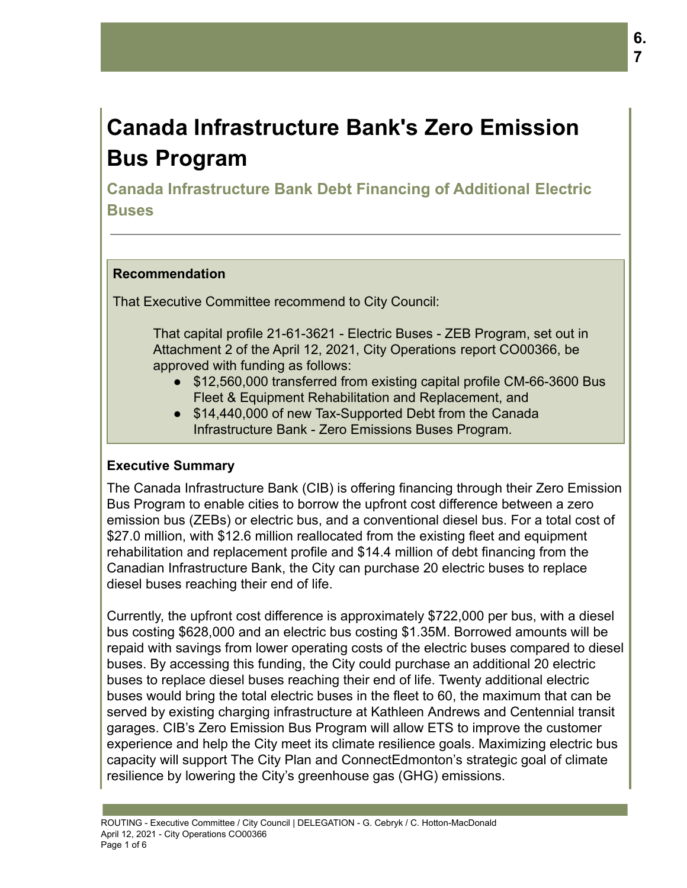# **Canada Infrastructure Bank's Zero Emission Bus Program**

**Canada Infrastructure Bank Debt Financing of Additional Electric Buses**

## **Recommendation**

That Executive Committee recommend to City Council:

That capital profile 21-61-3621 - Electric Buses - ZEB Program, set out in Attachment 2 of the April 12, 2021, City Operations report CO00366, be approved with funding as follows:

- \$12,560,000 transferred from existing capital profile CM-66-3600 Bus Fleet & Equipment Rehabilitation and Replacement, and
- \$14,440,000 of new Tax-Supported Debt from the Canada Infrastructure Bank - Zero Emissions Buses Program.

## **Executive Summary**

The Canada Infrastructure Bank (CIB) is offering financing through their Zero Emission Bus Program to enable cities to borrow the upfront cost difference between a zero emission bus (ZEBs) or electric bus, and a conventional diesel bus. For a total cost of \$27.0 million, with \$12.6 million reallocated from the existing fleet and equipment rehabilitation and replacement profile and \$14.4 million of debt financing from the Canadian Infrastructure Bank, the City can purchase 20 electric buses to replace diesel buses reaching their end of life.

Currently, the upfront cost difference is approximately \$722,000 per bus, with a diesel bus costing \$628,000 and an electric bus costing \$1.35M. Borrowed amounts will be repaid with savings from lower operating costs of the electric buses compared to diesel buses. By accessing this funding, the City could purchase an additional 20 electric buses to replace diesel buses reaching their end of life. Twenty additional electric buses would bring the total electric buses in the fleet to 60, the maximum that can be served by existing charging infrastructure at Kathleen Andrews and Centennial transit garages. CIB's Zero Emission Bus Program will allow ETS to improve the customer experience and help the City meet its climate resilience goals. Maximizing electric bus capacity will support The City Plan and ConnectEdmonton's strategic goal of climate resilience by lowering the City's greenhouse gas (GHG) emissions.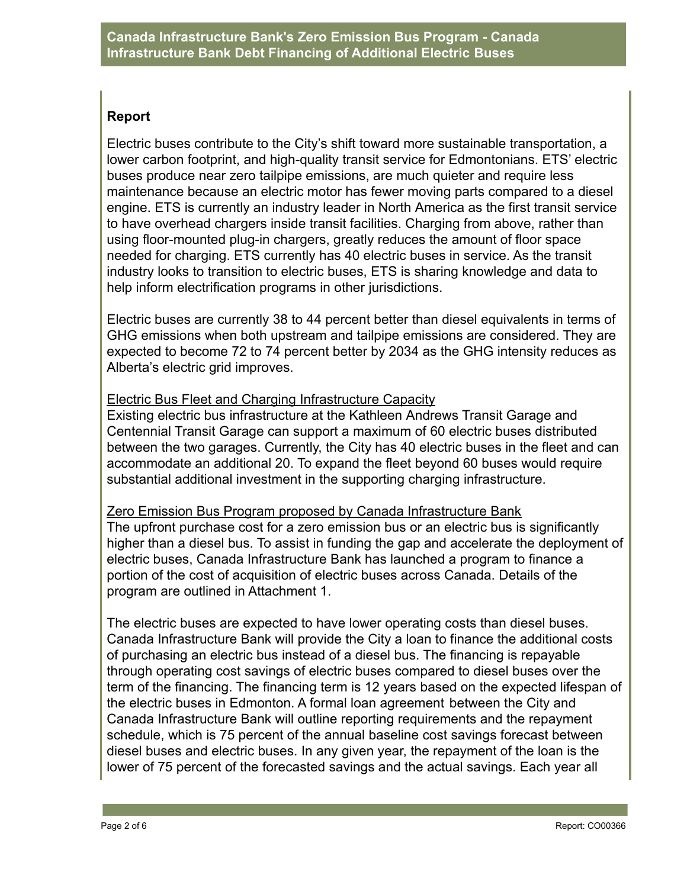## **Report**

Electric buses contribute to the City's shift toward more sustainable transportation, a lower carbon footprint, and high-quality transit service for Edmontonians. ETS' electric buses produce near zero tailpipe emissions, are much quieter and require less maintenance because an electric motor has fewer moving parts compared to a diesel engine. ETS is currently an industry leader in North America as the first transit service to have overhead chargers inside transit facilities. Charging from above, rather than using floor-mounted plug-in chargers, greatly reduces the amount of floor space needed for charging. ETS currently has 40 electric buses in service. As the transit industry looks to transition to electric buses, ETS is sharing knowledge and data to help inform electrification programs in other jurisdictions.

Electric buses are currently 38 to 44 percent better than diesel equivalents in terms of GHG emissions when both upstream and tailpipe emissions are considered. They are expected to become 72 to 74 percent better by 2034 as the GHG intensity reduces as Alberta's electric grid improves.

## Electric Bus Fleet and Charging Infrastructure Capacity

Existing electric bus infrastructure at the Kathleen Andrews Transit Garage and Centennial Transit Garage can support a maximum of 60 electric buses distributed between the two garages. Currently, the City has 40 electric buses in the fleet and can accommodate an additional 20. To expand the fleet beyond 60 buses would require substantial additional investment in the supporting charging infrastructure.

## Zero Emission Bus Program proposed by Canada Infrastructure Bank

The upfront purchase cost for a zero emission bus or an electric bus is significantly higher than a diesel bus. To assist in funding the gap and accelerate the deployment of electric buses, Canada Infrastructure Bank has launched a program to finance a portion of the cost of acquisition of electric buses across Canada. Details of the program are outlined in Attachment 1.

The electric buses are expected to have lower operating costs than diesel buses. Canada Infrastructure Bank will provide the City a loan to finance the additional costs of purchasing an electric bus instead of a diesel bus. The financing is repayable through operating cost savings of electric buses compared to diesel buses over the term of the financing. The financing term is 12 years based on the expected lifespan of the electric buses in Edmonton. A formal loan agreement between the City and Canada Infrastructure Bank will outline reporting requirements and the repayment schedule, which is 75 percent of the annual baseline cost savings forecast between diesel buses and electric buses. In any given year, the repayment of the loan is the lower of 75 percent of the forecasted savings and the actual savings. Each year all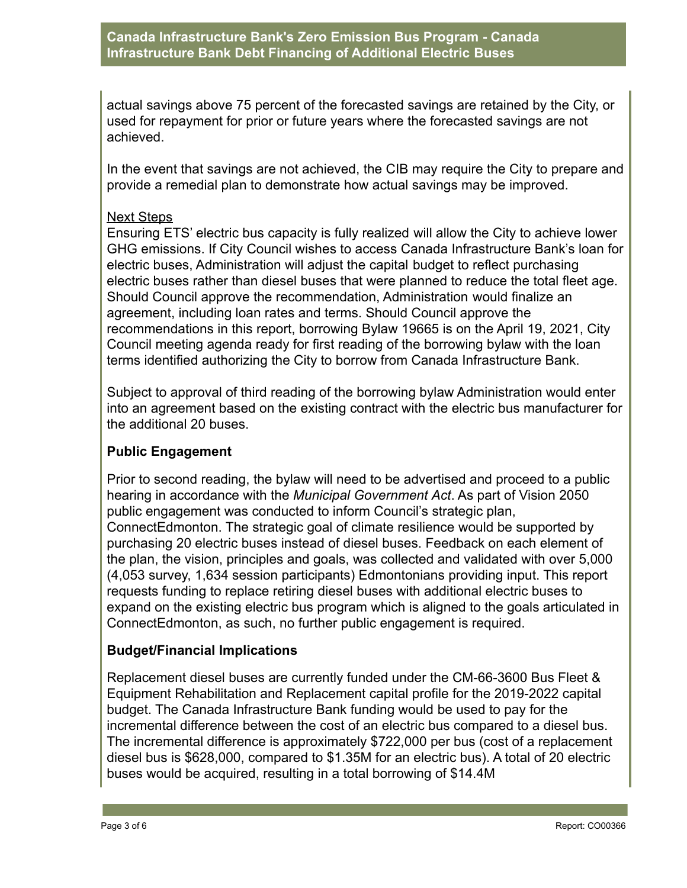## **Canada Infrastructure Bank's Zero Emission Bus Program - Canada Infrastructure Bank Debt Financing of Additional Electric Buses**

actual savings above 75 percent of the forecasted savings are retained by the City, or used for repayment for prior or future years where the forecasted savings are not achieved.

In the event that savings are not achieved, the CIB may require the City to prepare and provide a remedial plan to demonstrate how actual savings may be improved.

## Next Steps

Ensuring ETS' electric bus capacity is fully realized will allow the City to achieve lower GHG emissions. If City Council wishes to access Canada Infrastructure Bank's loan for electric buses, Administration will adjust the capital budget to reflect purchasing electric buses rather than diesel buses that were planned to reduce the total fleet age. Should Council approve the recommendation, Administration would finalize an agreement, including loan rates and terms. Should Council approve the recommendations in this report, borrowing Bylaw 19665 is on the April 19, 2021, City Council meeting agenda ready for first reading of the borrowing bylaw with the loan terms identified authorizing the City to borrow from Canada Infrastructure Bank.

Subject to approval of third reading of the borrowing bylaw Administration would enter into an agreement based on the existing contract with the electric bus manufacturer for the additional 20 buses.

## **Public Engagement**

Prior to second reading, the bylaw will need to be advertised and proceed to a public hearing in accordance with the *Municipal Government Act*. As part of Vision 2050 public engagement was conducted to inform Council's strategic plan, ConnectEdmonton. The strategic goal of climate resilience would be supported by purchasing 20 electric buses instead of diesel buses. Feedback on each element of the plan, the vision, principles and goals, was collected and validated with over 5,000 (4,053 survey, 1,634 session participants) Edmontonians providing input. This report requests funding to replace retiring diesel buses with additional electric buses to expand on the existing electric bus program which is aligned to the goals articulated in ConnectEdmonton, as such, no further public engagement is required.

## **Budget/Financial Implications**

Replacement diesel buses are currently funded under the CM-66-3600 Bus Fleet & Equipment Rehabilitation and Replacement capital profile for the 2019-2022 capital budget. The Canada Infrastructure Bank funding would be used to pay for the incremental difference between the cost of an electric bus compared to a diesel bus. The incremental difference is approximately \$722,000 per bus (cost of a replacement diesel bus is \$628,000, compared to \$1.35M for an electric bus). A total of 20 electric buses would be acquired, resulting in a total borrowing of \$14.4M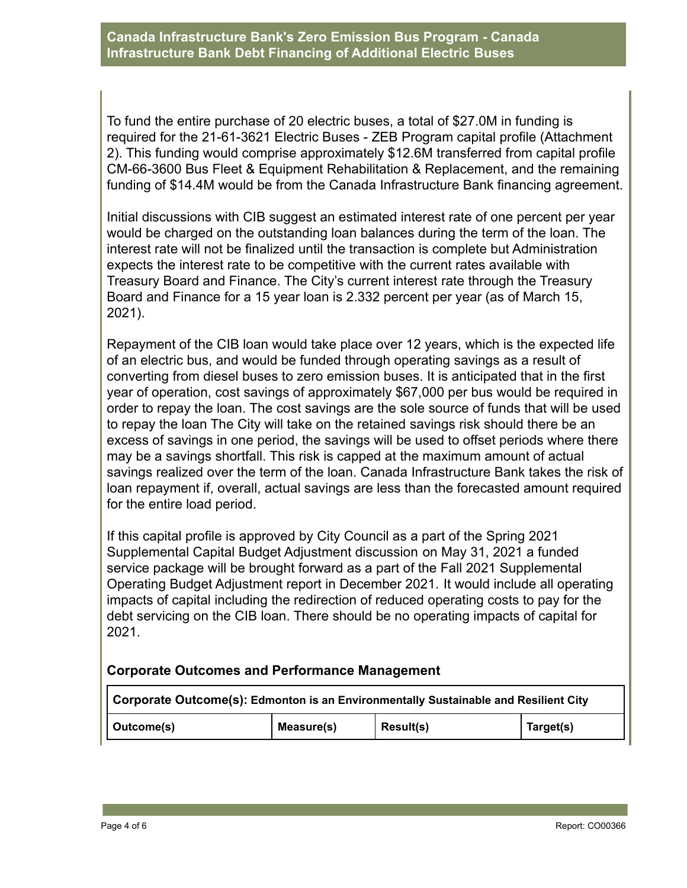To fund the entire purchase of 20 electric buses, a total of \$27.0M in funding is required for the 21-61-3621 Electric Buses - ZEB Program capital profile (Attachment 2). This funding would comprise approximately \$12.6M transferred from capital profile CM-66-3600 Bus Fleet & Equipment Rehabilitation & Replacement, and the remaining funding of \$14.4M would be from the Canada Infrastructure Bank financing agreement.

Initial discussions with CIB suggest an estimated interest rate of one percent per year would be charged on the outstanding loan balances during the term of the loan. The interest rate will not be finalized until the transaction is complete but Administration expects the interest rate to be competitive with the current rates available with Treasury Board and Finance. The City's current interest rate through the Treasury Board and Finance for a 15 year loan is 2.332 percent per year (as of March 15, 2021).

Repayment of the CIB loan would take place over 12 years, which is the expected life of an electric bus, and would be funded through operating savings as a result of converting from diesel buses to zero emission buses. It is anticipated that in the first year of operation, cost savings of approximately \$67,000 per bus would be required in order to repay the loan. The cost savings are the sole source of funds that will be used to repay the loan The City will take on the retained savings risk should there be an excess of savings in one period, the savings will be used to offset periods where there may be a savings shortfall. This risk is capped at the maximum amount of actual savings realized over the term of the loan. Canada Infrastructure Bank takes the risk of loan repayment if, overall, actual savings are less than the forecasted amount required for the entire load period.

If this capital profile is approved by City Council as a part of the Spring 2021 Supplemental Capital Budget Adjustment discussion on May 31, 2021 a funded service package will be brought forward as a part of the Fall 2021 Supplemental Operating Budget Adjustment report in December 2021. It would include all operating impacts of capital including the redirection of reduced operating costs to pay for the debt servicing on the CIB loan. There should be no operating impacts of capital for 2021.

## **Corporate Outcomes and Performance Management**

| Corporate Outcome(s): Edmonton is an Environmentally Sustainable and Resilient City |            |                  |           |  |  |  |  |  |
|-------------------------------------------------------------------------------------|------------|------------------|-----------|--|--|--|--|--|
| Outcome(s)                                                                          | Measure(s) | <b>Result(s)</b> | Target(s) |  |  |  |  |  |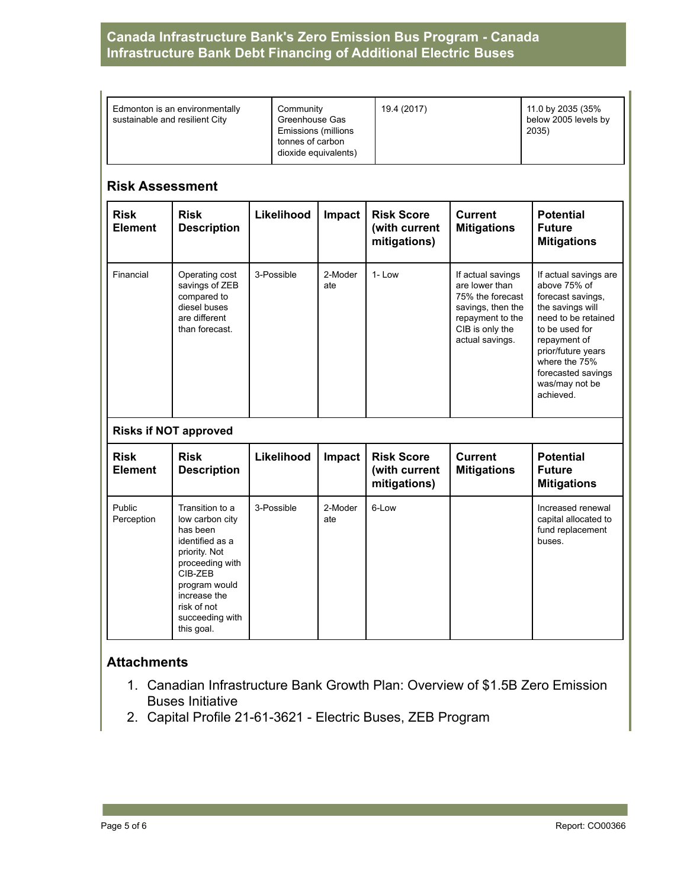## **Canada Infrastructure Bank's Zero Emission Bus Program - Canada Infrastructure Bank Debt Financing of Additional Electric Buses**

| Edmonton is an environmentally<br>sustainable and resilient City | Community<br>Greenhouse Gas<br>Emissions (millions<br>tonnes of carbon<br>dioxide equivalents) | 19.4 (2017) | 11.0 by 2035 (35%<br>below 2005 levels by<br>2035) |
|------------------------------------------------------------------|------------------------------------------------------------------------------------------------|-------------|----------------------------------------------------|
|------------------------------------------------------------------|------------------------------------------------------------------------------------------------|-------------|----------------------------------------------------|

#### **Risk Assessment**

| <b>Risk</b><br><b>Element</b> | <b>Risk</b><br><b>Description</b>                                                                                                                                | Likelihood | Impact         | <b>Risk Score</b><br>(with current<br>mitigations) | <b>Current</b><br><b>Mitigations</b>                                                                                                   | <b>Potential</b><br><b>Future</b><br><b>Mitigations</b>                                                                                                                                                                             |  |  |  |
|-------------------------------|------------------------------------------------------------------------------------------------------------------------------------------------------------------|------------|----------------|----------------------------------------------------|----------------------------------------------------------------------------------------------------------------------------------------|-------------------------------------------------------------------------------------------------------------------------------------------------------------------------------------------------------------------------------------|--|--|--|
| Financial                     | Operating cost<br>savings of ZEB<br>compared to<br>diesel buses<br>are different<br>than forecast.                                                               | 3-Possible | 2-Moder<br>ate | $1 - Low$                                          | If actual savings<br>are lower than<br>75% the forecast<br>savings, then the<br>repayment to the<br>CIB is only the<br>actual savings. | If actual savings are<br>above 75% of<br>forecast savings,<br>the savings will<br>need to be retained<br>to be used for<br>repayment of<br>prior/future years<br>where the 75%<br>forecasted savings<br>was/may not be<br>achieved. |  |  |  |
| <b>Risks if NOT approved</b>  |                                                                                                                                                                  |            |                |                                                    |                                                                                                                                        |                                                                                                                                                                                                                                     |  |  |  |
| <b>Risk</b><br><b>Element</b> | <b>Risk</b><br><b>Description</b>                                                                                                                                | Likelihood | Impact         | <b>Risk Score</b><br>(with current<br>mitigations) | <b>Current</b><br><b>Mitigations</b>                                                                                                   | <b>Potential</b><br><b>Future</b><br><b>Mitigations</b>                                                                                                                                                                             |  |  |  |
| Public<br>Perception          | Transition to a<br>low carbon city<br>has been<br>identified as a<br>priority. Not<br>proceeding with<br>CIB-ZEB<br>program would<br>increase the<br>risk of not | 3-Possible | 2-Moder<br>ate | 6-Low                                              |                                                                                                                                        | Increased renewal<br>capital allocated to<br>fund replacement<br>buses.                                                                                                                                                             |  |  |  |

## **Attachments**

succeeding with this goal.

- 1. Canadian Infrastructure Bank Growth Plan: Overview of \$1.5B Zero Emission Buses Initiative
- 2. Capital Profile 21-61-3621 Electric Buses, ZEB Program